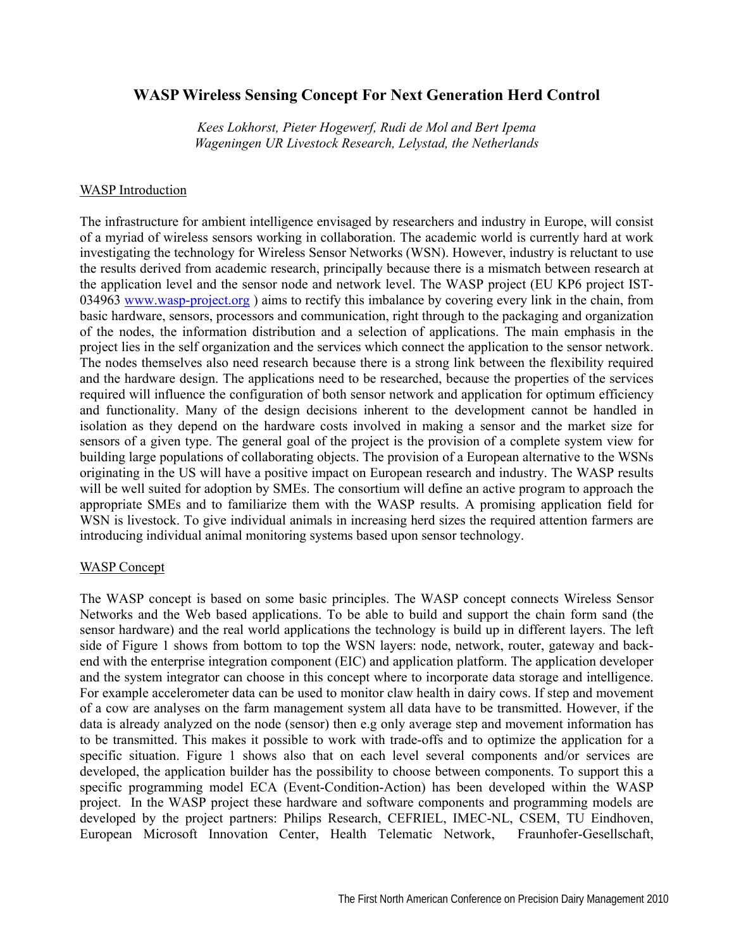## **WASP Wireless Sensing Concept For Next Generation Herd Control**

*Kees Lokhorst, Pieter Hogewerf, Rudi de Mol and Bert Ipema Wageningen UR Livestock Research, Lelystad, the Netherlands* 

## WASP Introduction

The infrastructure for ambient intelligence envisaged by researchers and industry in Europe, will consist of a myriad of wireless sensors working in collaboration. The academic world is currently hard at work investigating the technology for Wireless Sensor Networks (WSN). However, industry is reluctant to use the results derived from academic research, principally because there is a mismatch between research at the application level and the sensor node and network level. The WASP project (EU KP6 project IST-034963 www.wasp-project.org ) aims to rectify this imbalance by covering every link in the chain, from basic hardware, sensors, processors and communication, right through to the packaging and organization of the nodes, the information distribution and a selection of applications. The main emphasis in the project lies in the self organization and the services which connect the application to the sensor network. The nodes themselves also need research because there is a strong link between the flexibility required and the hardware design. The applications need to be researched, because the properties of the services required will influence the configuration of both sensor network and application for optimum efficiency and functionality. Many of the design decisions inherent to the development cannot be handled in isolation as they depend on the hardware costs involved in making a sensor and the market size for sensors of a given type. The general goal of the project is the provision of a complete system view for building large populations of collaborating objects. The provision of a European alternative to the WSNs originating in the US will have a positive impact on European research and industry. The WASP results will be well suited for adoption by SMEs. The consortium will define an active program to approach the appropriate SMEs and to familiarize them with the WASP results. A promising application field for WSN is livestock. To give individual animals in increasing herd sizes the required attention farmers are introducing individual animal monitoring systems based upon sensor technology.

## WASP Concept

The WASP concept is based on some basic principles. The WASP concept connects Wireless Sensor Networks and the Web based applications. To be able to build and support the chain form sand (the sensor hardware) and the real world applications the technology is build up in different layers. The left side of Figure 1 shows from bottom to top the WSN layers: node, network, router, gateway and backend with the enterprise integration component (EIC) and application platform. The application developer and the system integrator can choose in this concept where to incorporate data storage and intelligence. For example accelerometer data can be used to monitor claw health in dairy cows. If step and movement of a cow are analyses on the farm management system all data have to be transmitted. However, if the data is already analyzed on the node (sensor) then e.g only average step and movement information has to be transmitted. This makes it possible to work with trade-offs and to optimize the application for a specific situation. Figure 1 shows also that on each level several components and/or services are developed, the application builder has the possibility to choose between components. To support this a specific programming model ECA (Event-Condition-Action) has been developed within the WASP project. In the WASP project these hardware and software components and programming models are developed by the project partners: Philips Research, CEFRIEL, IMEC-NL, CSEM, TU Eindhoven, European Microsoft Innovation Center, Health Telematic Network, Fraunhofer-Gesellschaft,